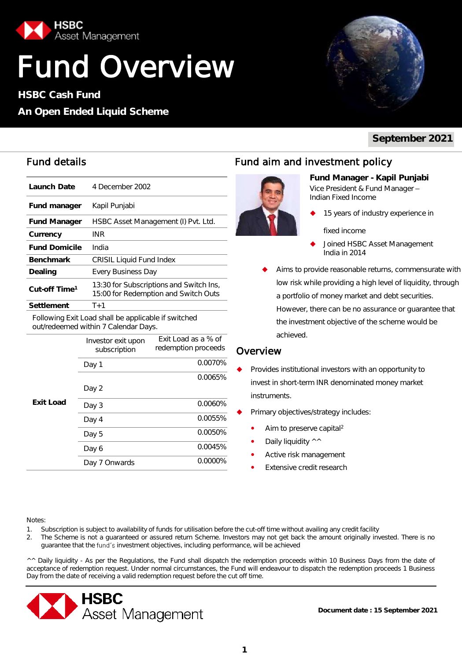

# Fund Overview

**HSBC Cash Fund**

#### **An Open Ended Liquid Scheme**



**September 2021**

| Launch Date               | 4 December 2002                                                                 |
|---------------------------|---------------------------------------------------------------------------------|
| Fund manager              | Kapil Punjabi                                                                   |
| <b>Fund Manager</b>       | HSBC Asset Management (I) Pvt. Ltd.                                             |
| Currency                  | INR                                                                             |
| <b>Fund Domicile</b>      | India                                                                           |
| <b>Benchmark</b>          | <b>CRISIL Liquid Fund Index</b>                                                 |
| Dealing                   | Every Business Day                                                              |
| Cut-off Time <sup>1</sup> | 13:30 for Subscriptions and Switch Ins,<br>15:00 for Redemption and Switch Outs |
| Settlement                | $T+1$                                                                           |

Following Exit Load shall be applicable if switched out/redeemed within 7 Calendar Days.

|           | Investor exit upon<br>subscription | Exit Load as a % of<br>redemption proceeds |
|-----------|------------------------------------|--------------------------------------------|
|           | Day 1                              | 0.0070%                                    |
|           |                                    | 0.0065%                                    |
| Exit Load | Day 2                              |                                            |
|           | Day 3                              | 0.0060%                                    |
|           | Day 4                              | 0.0055%                                    |
|           | Day 5                              | 0.0050%                                    |
|           | Day 6                              | 0.0045%                                    |
|           | Onwards<br>Day 7                   | 0.0000%                                    |

#### Fund details Fund aim and investment policy



**Fund Manager - Kapil Punjabi**  Vice President & Fund Manager Indian Fixed Income

15 years of industry experience in

fixed income

- Joined HSBC Asset Management India in 2014
- Aims to provide reasonable returns, commensurate with low risk while providing a high level of liquidity, through a portfolio of money market and debt securities. However, there can be no assurance or guarantee that the investment objective of the scheme would be achieved.

#### **Overview**

- Provides institutional investors with an opportunity to invest in short-term INR denominated money market instruments.
- Primary objectives/strategy includes:
	- Aim to preserve capital<sup>2</sup>
	- Daily liquidity ^^
	- Active risk management
	- Extensive credit research

#### Notes:

- 1. Subscription is subject to availability of funds for utilisation before the cut-off time without availing any credit facility
- 2. The Scheme is not a guaranteed or assured return Scheme. Investors may not get back the amount originally invested. There is no guarantee that the fund's investment objectives, including performance, will be achieved

^^ Daily liquidity - As per the Regulations, the Fund shall dispatch the redemption proceeds within 10 Business Days from the date of acceptance of redemption request. Under normal circumstances, the Fund will endeavour to dispatch the redemption proceeds 1 Business Day from the date of receiving a valid redemption request before the cut off time.

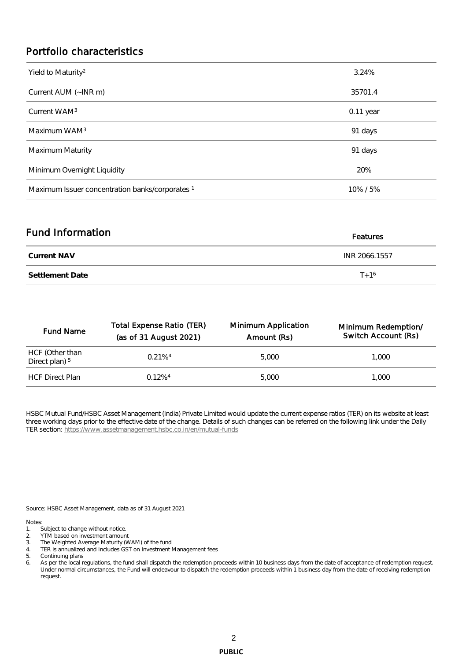#### Portfolio characteristics

| Yield to Maturity <sup>2</sup>                             | 3.24%     |
|------------------------------------------------------------|-----------|
| Current AUM (~INR m)                                       | 35701.4   |
| Current WAM <sup>3</sup>                                   | 0.11 year |
| Maximum WAM <sup>3</sup>                                   | 91 days   |
| Maximum Maturity                                           | 91 days   |
| Minimum Overnight Liquidity                                | 20%       |
| Maximum Issuer concentration banks/corporates <sup>1</sup> | 10%/5%    |

| Fund Information | Features      |
|------------------|---------------|
| Current NAV      | INR 2066.1557 |
| Settlement Date  | $T + 1^{6}$   |

| <b>Fund Name</b>                             | <b>Total Expense Ratio (TER)</b><br>(as of 31 August 2021) | Minimum Application<br>Amount (Rs) | Minimum Redemption/<br>Switch Account (Rs) |  |  |  |
|----------------------------------------------|------------------------------------------------------------|------------------------------------|--------------------------------------------|--|--|--|
| HCF (Other than<br>Direct plan) <sup>5</sup> | $0.21\%4$                                                  | 5.000                              | 1.000                                      |  |  |  |
| <b>HCF Direct Plan</b>                       | $0.12\%$ <sup>4</sup>                                      | 5.000                              | 1.000                                      |  |  |  |

HSBC Mutual Fund/HSBC Asset Management (India) Private Limited would update the current expense ratios (TER) on its website at least three working days prior to the effective date of the change. Details of such changes can be referred on the following link under the Daily TER section:<https://www.assetmanagement.hsbc.co.in/en/mutual-funds>

Source: HSBC Asset Management, data as of 31 August 2021

Notes:

- 1. Subject to change without notice.
- 2. YTM based on investment amount
- 3. The Weighted Average Maturity (WAM) of the fund
- 4. TER is annualized and Includes GST on Investment Management fees

5. Continuing plans<br>6. As per the local re

As per the local regulations, the fund shall dispatch the redemption proceeds within 10 business days from the date of acceptance of redemption request. Under normal circumstances, the Fund will endeavour to dispatch the redemption proceeds within 1 business day from the date of receiving redemption request.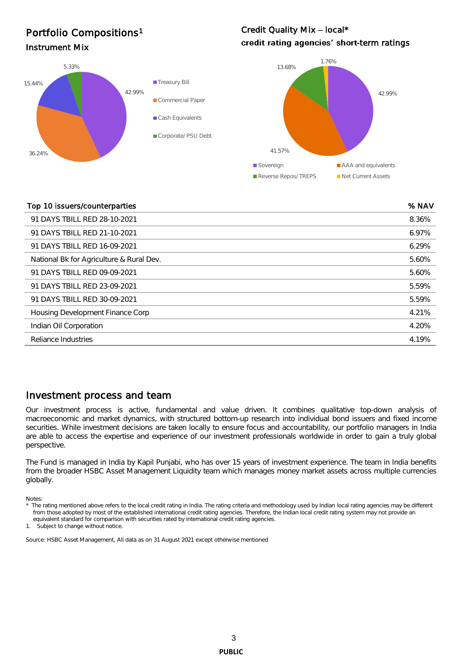### Instrument Mix and the Community of the Community of the Community of the Community of the Community of the Co<br>
Instrument Mix and the Community of the Community of the Community of the Community of the Community of the Co Portfolio Compositions<sup>1</sup>

42.99% 36.24% 15.44% 5.33% **Treasury Bill** Commercial Paper Cash Equivalents Corporate/ PSU Debt

## Credit Quality Mix - local\*



#### Top 10 issuers/counterparties % NAV

| 91 DAYS TBILL RED 28-10-2021<br>8.36%<br>91 DAYS TBILL RED 21-10-2021<br>6.97%<br>6.29%<br>91 DAYS TBILL RED 16-09-2021<br>National Bk for Agriculture & Rural Dev.<br>5.60%<br>91 DAYS TBILL RED 09-09-2021<br>5.60%<br>91 DAYS TBILL RED 23-09-2021<br>5.59%<br>91 DAYS TBILL RED 30-09-2021<br>5.59%<br>4.21%<br>Housing Development Finance Corp<br>4.20%<br>Indian Oil Corporation<br>Reliance Industries<br>4.19% |  |
|-------------------------------------------------------------------------------------------------------------------------------------------------------------------------------------------------------------------------------------------------------------------------------------------------------------------------------------------------------------------------------------------------------------------------|--|
|                                                                                                                                                                                                                                                                                                                                                                                                                         |  |
|                                                                                                                                                                                                                                                                                                                                                                                                                         |  |
|                                                                                                                                                                                                                                                                                                                                                                                                                         |  |
|                                                                                                                                                                                                                                                                                                                                                                                                                         |  |
|                                                                                                                                                                                                                                                                                                                                                                                                                         |  |
|                                                                                                                                                                                                                                                                                                                                                                                                                         |  |
|                                                                                                                                                                                                                                                                                                                                                                                                                         |  |
|                                                                                                                                                                                                                                                                                                                                                                                                                         |  |
|                                                                                                                                                                                                                                                                                                                                                                                                                         |  |
|                                                                                                                                                                                                                                                                                                                                                                                                                         |  |

#### Investment process and team

Our investment process is active, fundamental and value driven. It combines qualitative top-down analysis of macroeconomic and market dynamics, with structured bottom-up research into individual bond issuers and fixed income securities. While investment decisions are taken locally to ensure focus and accountability, our portfolio managers in India are able to access the expertise and experience of our investment professionals worldwide in order to gain a truly global perspective.

The Fund is managed in India by Kapil Punjabi, who has over 15 years of investment experience. The team in India benefits from the broader HSBC Asset Management Liquidity team which manages money market assets across multiple currencies globally.

Notes:

1. Subject to change without notice.

Source: HSBC Asset Management, All data as on 31 August 2021 except otherwise mentioned

The rating mentioned above refers to the local credit rating in India. The rating criteria and methodology used by Indian local rating agencies may be different from those adopted by most of the established international credit rating agencies. Therefore, the Indian local credit rating system may not provide an equivalent standard for comparison with securities rated by international credit rating agencies.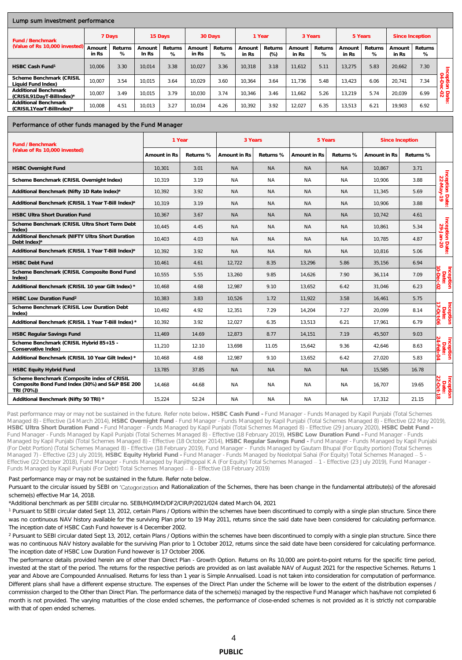#### Lump sum investment performance

| Lully suit illvestillerit performance             |                             |              |                   |              |                 |              |                 |                 |                 |              |                 |              |                 |                 |                   |
|---------------------------------------------------|-----------------------------|--------------|-------------------|--------------|-----------------|--------------|-----------------|-----------------|-----------------|--------------|-----------------|--------------|-----------------|-----------------|-------------------|
| Fund / Benchmark                                  |                             | 7 Days       |                   | 15 Days      |                 | 30 Days      |                 | 1 Year          |                 | 3 Years      |                 | 5 Years      |                 | Since Inception |                   |
| (Value of Rs 10,000 invested)                     | Amoun <sup>+</sup><br>in Rs | Returns<br>% | Amount<br>In $Rs$ | Returns<br>% | Amount<br>in Rs | Returns<br>% | Amount<br>in Rs | Returns<br>(% ) | Amount<br>in Rs | Returns<br>℅ | Amount<br>in Rs | Returns<br>% | Amount<br>in Rs | Returns<br>%    |                   |
| HSBC Cash Fund <sup>1</sup>                       | 10.006                      | 3.30         | 10.014            | 3.38         | 10.027          | 3.36         | 10.318          | 3.18            | 11.612          | 5.11         | 13.275          | 5.83         | 20.662          | 7.30            |                   |
| Scheme Benchmark (CRISIL<br>Liquid Fund Index)    | 10.007                      | 3.54         | 10.015            | 3.64         | 10.029          | 3.60         | 10.364          | 3.64            | 11.736          | 5.48         | 13.423          | 6.06         | 20.741          | 7.34            | cep<br>$\bigcirc$ |
| Additional Benchmark<br>(CRISIL91DavT-BillIndex)* | 10.007                      | 3.49         | 10.015            | 3.79         | 10.030          | 3.74         | 10.346          | 3.46            | 11.662          | 5.26         | 13.219          | 5.74         | 20.039          | 6.99            | $\frac{6}{2}$     |
| Additional Benchmark<br>(CRISIL1YearT-BillIndex)* | 10.008                      | 4.51         | 10.013            | 3.27         | 10.034          | 4.26         | 10.392          | 3.92            | 12.027          | 6.35         | 13.513          | 6.21         | 19.903          | 6.92            | இ                 |

#### Performance of other funds managed by the Fund Manager

| Fund / Benchmark                                                                                             | 1 Year        |           |              | 3 Years   | 5 Years      |           | Since Inception |           |                                 |
|--------------------------------------------------------------------------------------------------------------|---------------|-----------|--------------|-----------|--------------|-----------|-----------------|-----------|---------------------------------|
| (Value of Rs 10,000 invested)                                                                                | Amount in Rs. | Returns % | Amount in Rs | Returns % | Amount in Rs | Returns % | Amount in Rs    | Returns % |                                 |
| <b>HSBC Overnight Fund</b>                                                                                   | 10.301        | 3.01      | <b>NA</b>    | <b>NA</b> | <b>NA</b>    | <b>NA</b> | 10.867          | 3.71      |                                 |
| Scheme Benchmark (CRISIL Overnight Index)                                                                    | 10,319        | 3.19      | <b>NA</b>    | ΝA        | <b>NA</b>    | <b>NA</b> | 10,906          | 3.88      |                                 |
| Additional Benchmark (Nifty 1D Rate Index)*                                                                  | 10.392        | 3.92      | NA.          | <b>NA</b> | <b>NA</b>    | <b>NA</b> | 11.345          | 5.69      |                                 |
| Additional Benchmark (CRISIL 1 Year T-Bill Index)*                                                           | 10.319        | 3.19      | NA.          | <b>NA</b> | <b>NA</b>    | <b>NA</b> | 10.906          | 3.88      | Inception Date:<br>22-May-19    |
| <b>HSBC Ultra Short Duration Fund</b>                                                                        | 10.367        | 3.67      | <b>NA</b>    | <b>NA</b> | <b>NA</b>    | <b>NA</b> | 10.742          | 4.61      |                                 |
| Scheme Benchmark (CRISIL Ultra Short Term Debt<br>Index)                                                     | 10,445        | 4.45      | <b>NA</b>    | <b>NA</b> | <b>NA</b>    | <b>NA</b> | 10,861          | 5.34      |                                 |
| Additional Benchmark (NIFTY Ultra Short Duration<br>Debt Index)*                                             | 10,403        | 4.03      | NA.          | <b>NA</b> | <b>NA</b>    | <b>NA</b> | 10,785          | 4.87      | Inception Date:<br>29-Jan-20    |
| Additional Benchmark (CRISIL 1 Year T-Bill Index)*                                                           | 10.392        | 3.92      | NA.          | <b>NA</b> | <b>NA</b>    | <b>NA</b> | 10,816          | 5.06      |                                 |
| <b>HSBC Debt Fund</b>                                                                                        | 10.461        | 4.61      | 12.722       | 8.35      | 13.296       | 5.86      | 35.156          | 6.94      |                                 |
| Scheme Benchmark (CRISIL Composite Bond Fund<br>Index)                                                       | 10,555        | 5.55      | 13,260       | 9.85      | 14,626       | 7.90      | 36,114          | 7.09      | Inception<br>Date:<br>ೆ         |
| Additional Benchmark (CRISIL 10 year Gilt Index) *                                                           | 10,468        | 4.68      | 12,987       | 9.10      | 13,652       | 6.42      | 31,046          | 6.23      | S.                              |
| <b>HSBC Low Duration Fund<sup>2</sup></b>                                                                    | 10.383        | 3.83      | 10.526       | 1.72      | 11,922       | 3.58      | 16.461          | 5.75      |                                 |
| Scheme Benchmark (CRISIL Low Duration Debt<br>Index)                                                         | 10,492        | 4.92      | 12,351       | 7.29      | 14,204       | 7.27      | 20,099          | 8.14      | Inception<br>Date:<br>17-Ort-O6 |
| Additional Benchmark (CRISIL 1 Year T-Bill Index) *                                                          | 10.392        | 3.92      | 12.027       | 6.35      | 13.513       | 6.21      | 17.961          | 6.79      | ₹                               |
| <b>HSBC Regular Savings Fund</b>                                                                             | 11,469        | 14.69     | 12,873       | 8.77      | 14,151       | 7.19      | 45,507          | 9.03      |                                 |
| Scheme Benchmark (CRISIL Hybrid 85+15 -<br>Conservative Index)                                               | 11,210        | 12.10     | 13,698       | 11.05     | 15,642       | 9.36      | 42,646          | 8.63      | Inception<br>Date:<br>24-Feb-04 |
| Additional Benchmark (CRISIL 10 Year Gilt Index) *                                                           | 10.468        | 4.68      | 12.987       | 9.10      | 13,652       | 6.42      | 27.020          | 5.83      |                                 |
| HSBC Equity Hybrid Fund                                                                                      | 13.785        | 37.85     | NA.          | <b>NA</b> | <b>NA</b>    | NA.       | 15.585          | 16.78     |                                 |
| Scheme Benchmark (Composite index of CRISIL<br>Composite Bond Fund Index (30%) and S&P BSE 200<br>TRI (70%)) | 14,468        | 44.68     | NA.          | ΝA        | ΝA           | NA.       | 16,707          | 19.65     | Inception<br>Date:              |
| Additional Benchmark (Nifty 50 TRI) *                                                                        | 15,224        | 52.24     | NA.          | <b>NA</b> | <b>NA</b>    | NA.       | 17,312          | 21.15     | œ.                              |

Past performance may or may not be sustained in the future. Refer note below**. HSBC Cash Fund -** Fund Manager - Funds Managed by Kapil Punjabi (Total Schemes Managed 8) - Effective (14 March 2014), **HSBC Overnight Fund** - Fund Manager - Funds Managed by Kapil Punjabi (Total Schemes Managed 8) - Effective (22 May 2019), **HSBC Ultra Short Duration Fund -** Fund Manager - Funds Managed by Kapil Punjabi (Total Schemes Managed 8) - Effective (29 January 2020), **HSBC Debt Fund -** Fund Manager - Funds Managed by Kapil Punjabi (Total Schemes Managed 8) - Effective (18 February 2019), **HSBC Low Duration Fund -** Fund Manager - Funds Managed by Kapil Punjabi (Total Schemes Managed 8) - Effective (18 October 2014), **HSBC Regular Savings Fund -** Fund Manager - Funds Managed by Kapil Punjabi (For Debt Portion) (Total Schemes Managed 8) - Effective (18 February 2019), Fund Manager - Funds Managed by Gautam Bhupal (For Equity portion) (Total Schemes Managed 7) - Effective (23 July 2019), **HSBC Equity Hybrid Fund -** Fund Manager - Funds Managed by Neelotpal Sahai (For Equity) Total Schemes Managed 5 - Effective (22 October 2018), Fund Manager - Funds Managed by Ranjithgopal K A (For Equity) Total Schemes Managed 1 - Effective (23 July 2019), Fund Manager - Funds Managed by Kapil Punjabi (For Debt) Total Schemes Managed - 8 - Effective (18 February 2019)

#### Past performance may or may not be sustained in the future. Refer note below.

Pursuant to the circular issued by SEBI on 'Categorization and Rationalization of the Schemes, there has been change in the fundamental attribute(s) of the aforesaid scheme(s) effective Mar 14, 2018.

\*Additional benchmark as per SEBI circular no. SEBI/HO/IMD/DF2/CIR/P/2021/024 dated March 04, 2021

<sup>1</sup> Pursuant to SEBI circular dated Sept 13, 2012, certain Plans / Options within the schemes have been discontinued to comply with a single plan structure. Since there was no continuous NAV history available for the surviving Plan prior to 19 May 2011, returns since the said date have been considered for calculating performance. The inception date of HSBC Cash Fund however is 4 December 2002.

<sup>2</sup> Pursuant to SEBI circular dated Sept 13, 2012, certain Plans / Options within the schemes have been discontinued to comply with a single plan structure. Since there was no continuous NAV history available for the surviving Plan prior to 1 October 2012, returns since the said date have been considered for calculating performance. The inception date of HSBC Low Duration Fund however is 17 October 2006.

The performance details provided herein are of other than Direct Plan - Growth Option. Returns on Rs 10,000 are point-to-point returns for the specific time period, invested at the start of the period. The returns for the respective periods are provided as on last available NAV of August 2021 for the respective Schemes. Returns 1 year and Above are Compounded Annualised. Returns for less than 1 year is Simple Annualised. Load is not taken into consideration for computation of performance. Different plans shall have a different expense structure. The expenses of the Direct Plan under the Scheme will be lower to the extent of the distribution expenses / commission charged to the Other than Direct Plan. The performance data of the scheme(s) managed by the respective Fund Manager which has/have not completed 6 month is not provided. The varying maturities of the close ended schemes, the performance of close-ended schemes is not provided as it is strictly not comparable with that of open ended schemes.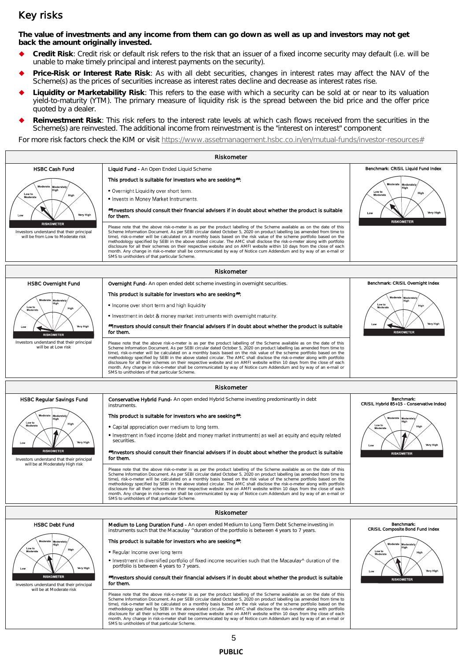### Key risks

**The value of investments and any income from them can go down as well as up and investors may not get back the amount originally invested.** 

- **Credit Risk**: Credit risk or default risk refers to the risk that an issuer of a fixed income security may default (i.e. will be unable to make timely principal and interest payments on the security).
- **Price-Risk or Interest Rate Risk**: As with all debt securities, changes in interest rates may affect the NAV of the Scheme(s) as the prices of securities increase as interest rates decline and decrease as interest rates rise.
- **Liquidity or Marketability Risk**: This refers to the ease with which a security can be sold at or near to its valuation yield-to-maturity (YTM). The primary measure of liquidity risk is the spread between the bid price and the offer price quoted by a dealer.
- **Reinvestment Risk**: This risk refers to the interest rate levels at which cash flows received from the securities in the Scheme(s) are reinvested. The additional income from reinvestment is the "interest on interest" component

For more risk factors check the KIM or visit [https://www.assetmanagement.hsbc.co.in/en/mutual-funds/investor-resources#](https://www.assetmanagement.hsbc.co.in/en/mutual-funds/investor-resources)